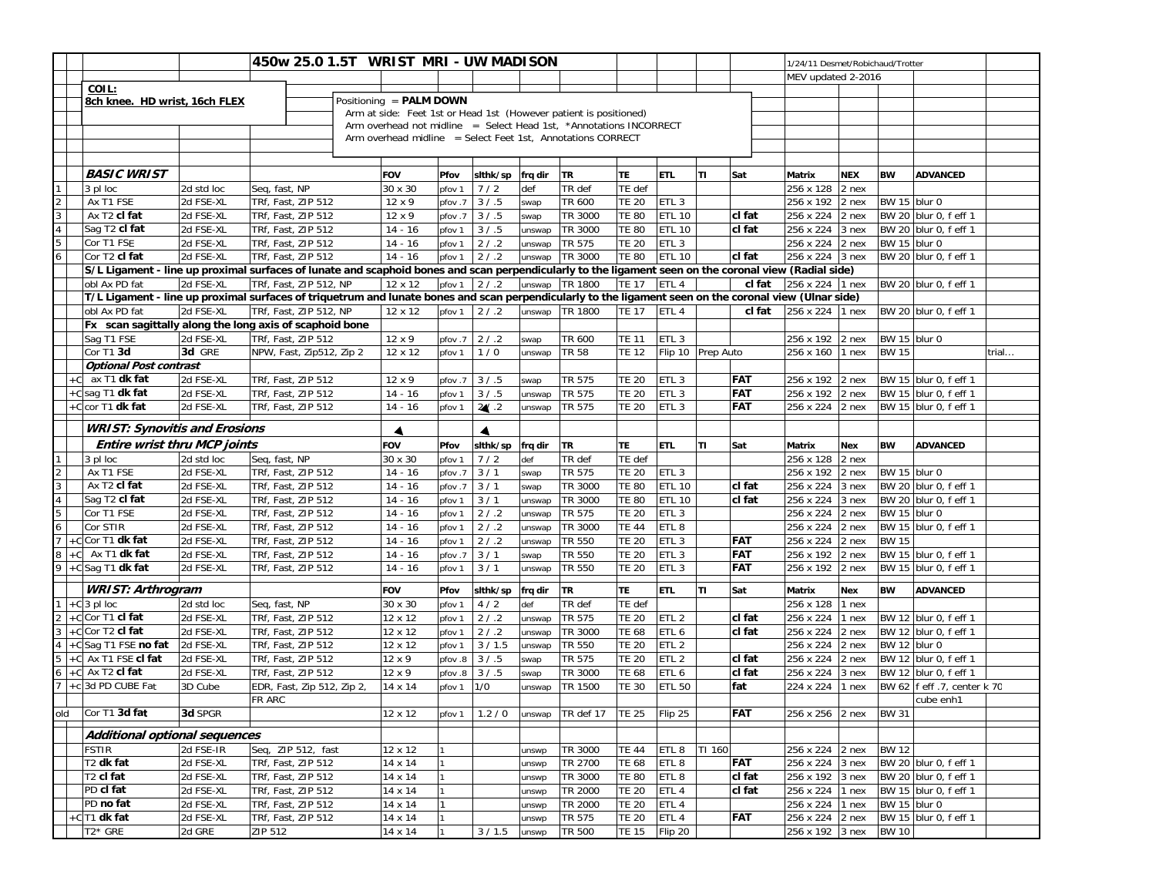|                                  |                                                                                                                                                        | 450w 25.0 1.5T WRIST MRI-UW MADISON |                                          |  |                                                                    |              |                    |                |                    |                              | 1/24/11 Desmet/Robichaud/Trotter     |                    |                   |                              |            |              |                                                |
|----------------------------------|--------------------------------------------------------------------------------------------------------------------------------------------------------|-------------------------------------|------------------------------------------|--|--------------------------------------------------------------------|--------------|--------------------|----------------|--------------------|------------------------------|--------------------------------------|--------------------|-------------------|------------------------------|------------|--------------|------------------------------------------------|
|                                  |                                                                                                                                                        |                                     |                                          |  |                                                                    |              |                    |                |                    |                              |                                      | MEV updated 2-2016 |                   |                              |            |              |                                                |
|                                  | COIL:                                                                                                                                                  |                                     |                                          |  |                                                                    |              |                    |                |                    |                              |                                      |                    |                   |                              |            |              |                                                |
|                                  | 8ch knee. HD wrist, 16ch FLEX                                                                                                                          |                                     |                                          |  | Positioning = PALM DOWN                                            |              |                    |                |                    |                              |                                      |                    |                   |                              |            |              |                                                |
|                                  |                                                                                                                                                        |                                     |                                          |  | Arm at side: Feet 1st or Head 1st (However patient is positioned)  |              |                    |                |                    |                              |                                      |                    |                   |                              |            |              |                                                |
|                                  |                                                                                                                                                        |                                     |                                          |  | Arm overhead not midline = Select Head 1st, *Annotations INCORRECT |              |                    |                |                    |                              |                                      |                    |                   |                              |            |              |                                                |
|                                  |                                                                                                                                                        |                                     |                                          |  | Arm overhead midline = Select Feet 1st, Annotations CORRECT        |              |                    |                |                    |                              |                                      |                    |                   |                              |            |              |                                                |
|                                  |                                                                                                                                                        |                                     |                                          |  |                                                                    |              |                    |                |                    |                              |                                      |                    |                   |                              |            |              |                                                |
|                                  | <b>BASIC WRIST</b>                                                                                                                                     |                                     |                                          |  | <b>FOV</b>                                                         | Pfov         | sithk/sp   frq dir |                | <b>TR</b>          | <b>TE</b>                    | <b>ETL</b>                           | TΙ                 | Sat               | Matrix                       | <b>NEX</b> | <b>BW</b>    | <b>ADVANCED</b>                                |
|                                  | 3 pl loc                                                                                                                                               | 2d std loc                          | Seq, fast, NP                            |  | $30 \times 30$                                                     | pfov 1       | 7/2                | def            | TR def             | TE def                       |                                      |                    |                   | 256 x 128 2 nex              |            |              |                                                |
|                                  | Ax T1 FSE                                                                                                                                              | 2d FSE-XL                           | TRf, Fast, ZIP 512                       |  | 12 x 9                                                             | pfov.7       | 3/5                | swap           | TR 600             | <b>TE 20</b>                 | ETL <sub>3</sub>                     |                    |                   | 256 x 192 2 nex              |            | BW 15 blur 0 |                                                |
| $\frac{2}{3}$                    | Ax T <sub>2</sub> cl fat                                                                                                                               | 2d FSE-XL                           | TRf, Fast, ZIP 512                       |  | 12 x 9                                                             |              | pfov .7 3 / .5     | swap           | TR 3000            | <b>TE 80</b>                 | <b>ETL 10</b>                        |                    | cl fat            | 256 x 224 2 nex              |            |              | BW 20 blur 0, f eff 1                          |
| $\overline{a}$                   | Sag T <sub>2</sub> cl fat                                                                                                                              | 2d FSE-XL                           | TRf, Fast, ZIP 512                       |  | $14 - 16$                                                          | pfov 1       | 3/5                | unswap         | TR 3000            | <b>TE 80</b>                 | <b>ETL 10</b>                        |                    | cl fat            | 256 x 224 3 nex              |            |              | BW 20 blur 0, f eff 1                          |
| $\overline{5}$                   | Cor T1 FSE                                                                                                                                             | 2d FSE-XL                           | TRf, Fast, ZIP 512                       |  | $14 - 16$                                                          | pfov 1       | 2 / .2             | unswap         | TR 575             | <b>TE 20</b>                 | ETL <sub>3</sub>                     |                    |                   | 256 x 224 2 nex              |            | BW 15 blur 0 |                                                |
| $\overline{6}$                   | Cor T <sub>2</sub> cl fat                                                                                                                              | 2d FSE-XL                           | TRf, Fast, ZIP 512                       |  | $14 - 16$                                                          | pfov 1       | 2 / .2             | unswap         | TR 3000            | <b>TE 80</b>                 | <b>ETL 10</b>                        |                    | cl fat            | 256 x 224 3 nex              |            |              | BW 20 blur 0, f eff 1                          |
|                                  | S/L Ligament - line up proximal surfaces of lunate and scaphoid bones and scan perpendicularly to the ligament seen on the coronal view (Radial side)  |                                     |                                          |  |                                                                    |              |                    |                |                    |                              |                                      |                    |                   |                              |            |              |                                                |
|                                  | obl Ax PD fat                                                                                                                                          | 2d FSE-XL                           | TRf, Fast, ZIP 512, NP                   |  | 12 x 12                                                            | pfov 1       | 2/2                |                | unswap TR 1800     | <b>TE 17</b>                 | ETL <sub>4</sub>                     |                    | cl fat            | 256 x 224 1 nex              |            |              | BW 20 blur 0, f eff 1                          |
|                                  | T/L Ligament - line up proximal surfaces of triquetrum and lunate bones and scan perpendicularly to the ligament seen on the coronal view (Ulnar side) |                                     |                                          |  |                                                                    |              |                    |                |                    |                              |                                      |                    |                   |                              |            |              |                                                |
|                                  | obl Ax PD fat                                                                                                                                          | 2d FSE-XL                           | TRf, Fast, ZIP 512, NP                   |  | 12 x 12                                                            | pfov 1       | 2 / .2             |                | unswap TR 1800     | <b>TE 17</b>                 | ETL <sub>4</sub>                     |                    | cl fat            | 256 x 224 1 nex              |            |              | BW 20 blur 0, f eff 1                          |
|                                  | Fx scan sagittally along the long axis of scaphoid bone                                                                                                |                                     |                                          |  |                                                                    |              |                    |                |                    |                              |                                      |                    |                   |                              |            |              |                                                |
|                                  | Sag T1 FSE                                                                                                                                             | 2d FSE-XL                           | TRf, Fast, ZIP 512                       |  | 12 x 9                                                             | pfov.7       | 2 / .2             | swap           | TR 600             | <b>TE 11</b>                 | ETL <sub>3</sub>                     |                    |                   | 256 x 192                    | 2 nex      | BW 15 blur 0 |                                                |
|                                  | Cor T1 3d                                                                                                                                              | 3d GRE                              | NPW, Fast, Zip512, Zip 2                 |  | 12 x 12                                                            | pfov 1       | 1/0                | unswap         | TR 58              | <b>TE 12</b>                 | Flip 10 Prep Auto                    |                    |                   | 256 x 160 1 nex              |            | <b>BW 15</b> | trial                                          |
|                                  | <b>Optional Post contrast</b>                                                                                                                          |                                     |                                          |  |                                                                    |              |                    |                |                    |                              |                                      |                    |                   |                              |            |              |                                                |
| +Cl                              | ax T1 dk fat                                                                                                                                           | 2d FSE-XL                           | TRf, Fast, ZIP 512                       |  | 12 x 9                                                             | pfov.7       | 3/5                | swap           | TR 575             | <b>TE 20</b>                 | ETL <sub>3</sub>                     |                    | <b>FAT</b>        | 256 x 192 2 nex              |            |              | BW 15 blur 0, f eff 1                          |
|                                  | +C sag T1 dk fat                                                                                                                                       | 2d FSE-XL                           | TRf, Fast, ZIP 512                       |  | $14 - 16$                                                          | pfov 1       | 3/5                | unswap         | TR 575             | <b>TE 20</b>                 | ETL <sub>3</sub>                     |                    | FAT               | 256 x 192                    | $2$ nex    |              | BW 15 blur 0, f eff 1                          |
|                                  | +Ccor T1 dk fat                                                                                                                                        | 2d FSE-XL                           | TRf, Fast, ZIP 512                       |  | $14 - 16$                                                          | pfov 1       | 24.2               | unswap         | TR 575             | <b>TE 20</b>                 | ETL <sub>3</sub>                     |                    | <b>FAT</b>        | 256 x 224 2 nex              |            |              | BW 15 blur 0, f eff 1                          |
|                                  |                                                                                                                                                        |                                     |                                          |  |                                                                    |              |                    |                |                    |                              |                                      |                    |                   |                              |            |              |                                                |
|                                  | <b>WRIST: Synovitis and Erosions</b>                                                                                                                   |                                     |                                          |  | $\blacktriangleleft$                                               |              | $\blacktriangle$   |                |                    |                              |                                      |                    |                   |                              |            |              |                                                |
|                                  | Entire wrist thru MCP joints                                                                                                                           |                                     |                                          |  | <b>FOV</b>                                                         | Pfov         | slthk/sp           | frq dir        | <b>TR</b>          | <b>TE</b>                    | <b>ETL</b>                           | ΤI                 | Sat               | Matrix                       | <b>Nex</b> | <b>BW</b>    | <b>ADVANCED</b>                                |
|                                  | 3 pl loc                                                                                                                                               | 2d std loc                          | Seq, fast, NP                            |  | 30 x 30                                                            | pfov 1       | 7/2                | def            | TR def             | TE def                       |                                      |                    |                   | 256 x 128 2 nex              |            |              |                                                |
| $\frac{2}{3}$                    | Ax T1 FSE                                                                                                                                              | 2d FSE-XL                           | TRf, Fast, ZIP 512                       |  | $14 - 16$                                                          | pfov.7       | 3/1                | swap           | <b>TR 575</b>      | <b>TE 20</b>                 | ETL <sub>3</sub>                     |                    |                   | 256 x 192 2 nex              |            | BW 15 blur 0 |                                                |
|                                  | Ax T <sub>2</sub> cl fat                                                                                                                               | 2d FSE-XL                           | TRf, Fast, ZIP 512                       |  | $14 - 16$                                                          | pfov.7       | 3/1                | swap           | TR 3000            | <b>TE 80</b>                 | <b>ETL 10</b>                        |                    | cl fat            | 256 x 224                    | 3 nex      |              | BW 20 blur 0, f eff 1                          |
| $\overline{4}$                   | Sag T <sub>2</sub> cl fat                                                                                                                              | 2d FSE-XL                           | TRf, Fast, ZIP 512                       |  | $14 - 16$                                                          | pfov 1       | 3/1                | unswap         | TR 3000            | <b>TE 80</b>                 | <b>ETL 10</b>                        |                    | cl fat            | 256 x 224                    | 3 nex      |              | BW 20 blur 0, f eff 1                          |
| $\overline{5}$                   | Cor T1 FSE                                                                                                                                             | 2d FSE-XL                           | TRf, Fast, ZIP 512                       |  | $14 - 16$                                                          | pfov 1       | $2/0.2$            | unswap         | TR 575             | <b>TE 20</b>                 | ETL <sub>3</sub>                     |                    |                   | 256 x 224                    | 2 nex      | BW 15 blur 0 |                                                |
| $\overline{6}$<br>$\overline{7}$ | Cor STIR<br>+C Cor T1 dk fat                                                                                                                           | 2d FSE-XL                           | TRf, Fast, ZIP 512                       |  | $14 - 16$                                                          | pfov 1       | $2/0.2$            | unswap         | TR 3000            | <b>TE 44</b>                 | ETL <sub>8</sub>                     |                    |                   | 256 x 224 2 nex              |            |              | BW 15 blur 0, f eff 1                          |
|                                  | $+C$ Ax T1 dk fat                                                                                                                                      | 2d FSE-XL<br>2d FSE-XL              | TRf, Fast, ZIP 512                       |  | $14 - 16$                                                          | pfov 1       | 2/3<br>3/1         | unswap         | TR 550<br>TR 550   | <b>TE 20</b>                 | ETL <sub>3</sub>                     |                    | <b>FAT</b><br>FAT | 256 x 224<br>256 x 192 2 nex | 2 nex      | <b>BW 15</b> |                                                |
| $\boldsymbol{8}$<br>9            | +C Sag T1 dk fat                                                                                                                                       | 2d FSE-XL                           | TRf, Fast, ZIP 512<br>TRf, Fast, ZIP 512 |  | $14 - 16$<br>$14 - 16$                                             | pfov.7       | 3/1                | swap           | <b>TR 550</b>      | <b>TE 20</b><br><b>TE 20</b> | ETL <sub>3</sub><br>ETL <sub>3</sub> |                    | FAT               | 256 x 192                    | 2 nex      |              | BW 15 blur 0, f eff 1<br>BW 15 blur 0, f eff 1 |
|                                  |                                                                                                                                                        |                                     |                                          |  |                                                                    | pfov 1       |                    | unswap         |                    |                              |                                      |                    |                   |                              |            |              |                                                |
|                                  | <b>WRIST: Arthrogram</b>                                                                                                                               |                                     |                                          |  | <b>FOV</b>                                                         | Pfov         | slthk/sp           | frq dir        | TR                 | TE                           | <b>ETL</b>                           | TΙ                 | Sat               | Matrix                       | <b>Nex</b> | <b>BW</b>    | <b>ADVANCED</b>                                |
|                                  | $+C$ 3 pl loc                                                                                                                                          | 2d std loc                          | Seq, fast, NP                            |  | 30 x 30                                                            | pfov 1       | 4/2                | def            | TR def             | TE def                       |                                      |                    |                   | 256 x 128 1 nex              |            |              |                                                |
|                                  | +CCor T1 cl fat                                                                                                                                        | 2d FSE-XL                           | TRf, Fast, ZIP 512                       |  | 12 x 12                                                            | pfov 1       | 2 / .2             | unswap         | TR 575             | <b>TE 20</b>                 | ETL <sub>2</sub>                     |                    | cl fat            | 256 x 224                    | $1$ nex    |              | BW 12 blur 0, f eff 1                          |
| 3                                | +C Cor T2 cl fat                                                                                                                                       | 2d FSE-XL                           | TRf, Fast, ZIP 512                       |  | 12 x 12                                                            | pfov 1       | $2/0.2$            | unswap         | TR 3000            | <b>TE 68</b>                 | ETL <sub>6</sub>                     |                    | cl fat            | 256 x 224                    | 2 nex      |              | BW 12 blur 0, f eff 1                          |
| $\overline{4}$                   | +C Sag T1 FSE no fat                                                                                                                                   | 2d FSE-XL                           | TRf, Fast, ZIP 512                       |  | 12 x 12                                                            | pfov 1       | 3/1.5              | unswap         | TR 550             | <b>TE 20</b>                 | ETL <sub>2</sub>                     |                    |                   | 256 x 224                    | 2 nex      | BW 12 blur 0 |                                                |
| 5                                | +C Ax T1 FSE cl fat                                                                                                                                    | 2d FSE-XL                           | TRf, Fast, ZIP 512                       |  | 12 x 9                                                             | pfov .8      | 3/5                | swap           | TR 575             | <b>TE 20</b>                 | ETL <sub>2</sub>                     |                    | cl fat            | 256 x 224                    | $2$ nex    |              | BW 12 blur 0, f eff 1                          |
| 6                                | $+C$ Ax T <sub>2</sub> cl fat                                                                                                                          | 2d FSE-XL                           | TRf, Fast, ZIP 512                       |  | 12 x 9                                                             | pfov.8       | 3/5                | swap           | TR 3000            | <b>TE 68</b>                 | ETL 6                                |                    | cl fat            | 256 x 224                    | 3 nex      |              | BW 12 blur 0, f eff 1                          |
|                                  | +c 3d PD CUBE Fat                                                                                                                                      | 3D Cube                             | EDR, Fast, Zip 512, Zip 2,               |  | 14 x 14                                                            | pfov 1       | 1/0                | unswap         | TR 1500            | <b>TE 30</b>                 | <b>ETL 50</b>                        |                    | fat               | 224 x 224                    | 1 nex      |              | BW 62   f eff .7, center k 70                  |
|                                  |                                                                                                                                                        |                                     | FR ARC                                   |  |                                                                    |              |                    |                |                    |                              |                                      |                    |                   |                              |            |              | cube enh1                                      |
| old                              | Cor T1 3d fat                                                                                                                                          | 3d SPGR                             |                                          |  | 12 x 12                                                            |              | pfov 1   1.2 / 0   |                | unswap   TR def 17 | <b>TE 25</b>                 | Flip 25                              |                    | FAT               | 256 x 256 2 nex              |            | <b>BW 31</b> |                                                |
|                                  | Additional optional sequences                                                                                                                          |                                     |                                          |  |                                                                    |              |                    |                |                    |                              |                                      |                    |                   |                              |            |              |                                                |
|                                  | <b>FSTIR</b>                                                                                                                                           | 2d FSE-IR                           | Seq, ZIP 512, fast                       |  | 12 x 12                                                            |              |                    |                | TR 3000            | <b>TE 44</b>                 | ETL <sub>8</sub>                     | TI 160             |                   | 256 x 224 2 nex              |            | <b>BW 12</b> |                                                |
|                                  | T <sub>2</sub> dk fat                                                                                                                                  | 2d FSE-XL                           | TRf, Fast, ZIP 512                       |  | 14 x 14                                                            |              |                    | unswp<br>unswp | TR 2700            | <b>TE 68</b>                 | ETL <sub>8</sub>                     |                    | FAT               | 256 x 224 3 nex              |            |              | BW 20 blur 0, f eff 1                          |
|                                  | T <sub>2</sub> cl fat                                                                                                                                  | 2d FSE-XL                           | TRf, Fast, ZIP 512                       |  | 14 x 14                                                            | $\mathbf{1}$ |                    | unswp          | TR 3000            | <b>TE 80</b>                 | ETL <sub>8</sub>                     |                    | cl fat            | 256 x 192 3 nex              |            |              | BW 20 blur 0, f eff 1                          |
|                                  | PD cl fat                                                                                                                                              | 2d FSE-XL                           | TRf, Fast, ZIP 512                       |  | 14 x 14                                                            |              |                    | unswp          | TR 2000            | <b>TE 20</b>                 | ETL <sub>4</sub>                     |                    | cl fat            | 256 x 224                    | 1 nex      |              | BW 15 blur 0, f eff 1                          |
|                                  | PD no fat                                                                                                                                              | 2d FSE-XL                           | TRf, Fast, ZIP 512                       |  | 14 x 14                                                            |              |                    | unswp          | <b>TR 2000</b>     | <b>TE 20</b>                 | ETL <sub>4</sub>                     |                    |                   | 256 x 224 1 nex              |            | BW 15 blur 0 |                                                |
|                                  | +CT1 dk fat                                                                                                                                            | 2d FSE-XL                           | TRf, Fast, ZIP 512                       |  | 14 x 14                                                            |              |                    | unswp          | TR 575             | <b>TE 20</b>                 | ETL 4                                |                    | FAT               | 256 x 224 2 nex              |            |              | BW 15 blur 0, f eff 1                          |
|                                  | T2* GRE                                                                                                                                                | 2d GRE                              | ZIP 512                                  |  | 14 x 14                                                            |              | 3 / 1.5 unswp      |                | <b>TR 500</b>      | <b>TE 15</b>                 | Flip 20                              |                    |                   | 256 x 192 3 nex              |            | <b>BW 10</b> |                                                |
|                                  |                                                                                                                                                        |                                     |                                          |  |                                                                    |              |                    |                |                    |                              |                                      |                    |                   |                              |            |              |                                                |